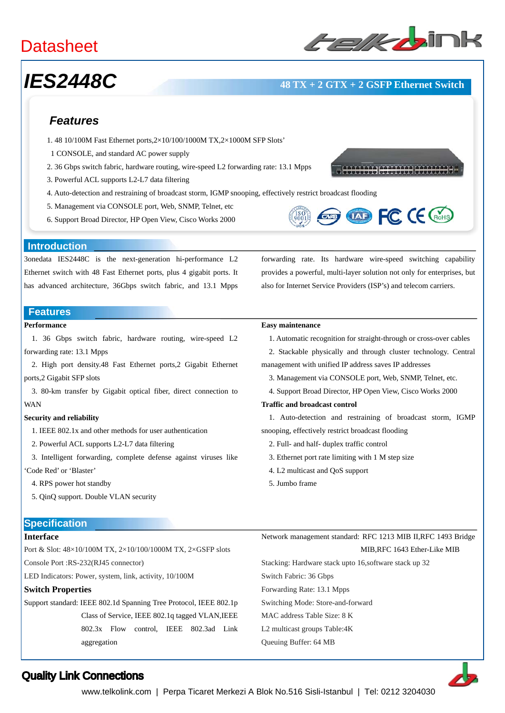# **Datasheet**

# *IES2448C* **48 TX + 2 GTX + 2 GSFP Ethernet Switch**

### *Features*

- 1. 48 10/100M Fast Ethernet ports,2×10/100/1000M TX,2×1000M SFP Slots'
- 1 CONSOLE, and standard AC power supply
- 2. 36 Gbps switch fabric, hardware routing, wire-speed L2 forwarding rate: 13.1 Mpps
- 3. Powerful ACL supports L2-L7 data filtering
- 4. Auto-detection and restraining of broadcast storm, IGMP snooping, effectively restrict broadcast flooding
- 5. Management via CONSOLE port, Web, SNMP, Telnet, etc
- 6. Support Broad Director, HP Open View, Cisco Works 2000





forwarding rate. Its hardware wire-speed switching capability provides a powerful, multi-layer solution not only for enterprises, but also for Internet Service Providers (ISP's) and telecom carriers.

#### **Introduction**

3onedata IES2448C is the next-generation hi-performance L2 Ethernet switch with 48 Fast Ethernet ports, plus 4 gigabit ports. It has advanced architecture, 36Gbps switch fabric, and 13.1 Mpps

### **Features**

### **Performance**

1. 36 Gbps switch fabric, hardware routing, wire-speed L2 forwarding rate: 13.1 Mpps

2. High port density.48 Fast Ethernet ports,2 Gigabit Ethernet ports,2 Gigabit SFP slots

3. 80-km transfer by Gigabit optical fiber, direct connection to WAN

#### **Security and reliability**

1. IEEE 802.1x and other methods for user authentication

2. Powerful ACL supports L2-L7 data filtering

3. Intelligent forwarding, complete defense against viruses like 'Code Red' or 'Blaster'

- 4. RPS power hot standby
- 5. QinQ support. Double VLAN security

## **Easy maintenance**

1. Automatic recognition for straight-through or cross-over cables

2. Stackable physically and through cluster technology. Central management with unified IP address saves IP addresses

- 3. Management via CONSOLE port, Web, SNMP, Telnet, etc.
- 4. Support Broad Director, HP Open View, Cisco Works 2000

#### **Traffic and broadcast control**

1. Auto-detection and restraining of broadcast storm, IGMP snooping, effectively restrict broadcast flooding

- 2. Full- and half- duplex traffic control
- 3. Ethernet port rate limiting with 1 M step size
- 4. L2 multicast and QoS support
- 5. Jumbo frame

Queuing Buffer: 64 MB

### **Specification**

#### **Interface**

Port & Slot: 48×10/100M TX, 2×10/100/1000M TX, 2×GSFP slots

Console Port :RS-232(RJ45 connector)

LED Indicators: Power, system, link, activity, 10/100M

### **Switch Properties**

Support standard: IEEE 802.1d Spanning Tree Protocol, IEEE 802.1p Class of Service, IEEE 802.1q tagged VLAN,IEEE 802.3x Flow control, IEEE 802.3ad Link aggregation

Network management standard: RFC 1213 MIB II,RFC 1493 Bridge MIB,RFC 1643 Ether-Like MIB Stacking: Hardware stack upto 16,software stack up 32 Switch Fabric: 36 Gbps Forwarding Rate: 13.1 Mpps Switching Mode: Store-and-forward MAC address Table Size: 8 K L2 multicast groups Table:4K



### Quality Link Connections

www.telkolink.com | Perpa Ticaret Merkezi A Blok No.516 Sisli-Istanbul | Tel: 0212 3204030